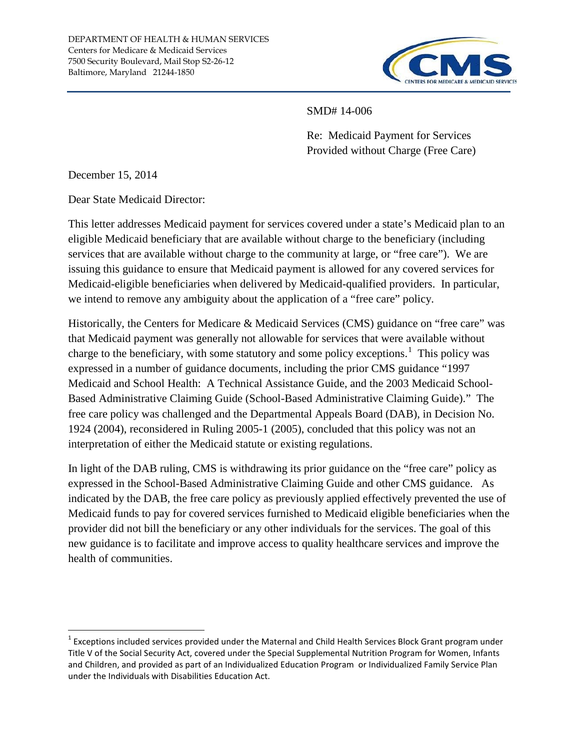

SMD# 14-006

Re: Medicaid Payment for Services Provided without Charge (Free Care)

December 15, 2014

Dear State Medicaid Director:

This letter addresses Medicaid payment for services covered under a state's Medicaid plan to an eligible Medicaid beneficiary that are available without charge to the beneficiary (including services that are available without charge to the community at large, or "free care"). We are issuing this guidance to ensure that Medicaid payment is allowed for any covered services for Medicaid-eligible beneficiaries when delivered by Medicaid-qualified providers. In particular, we intend to remove any ambiguity about the application of a "free care" policy.

Historically, the Centers for Medicare & Medicaid Services (CMS) guidance on "free care" was that Medicaid payment was generally not allowable for services that were available without charge to the beneficiary, with some statutory and some policy exceptions.<sup>[1](#page-0-0)</sup> This policy was expressed in a number of guidance documents, including the prior CMS guidance "1997 Medicaid and School Health: A Technical Assistance Guide, and the 2003 Medicaid School-Based Administrative Claiming Guide (School-Based Administrative Claiming Guide)." The free care policy was challenged and the Departmental Appeals Board (DAB), in Decision No. 1924 (2004), reconsidered in Ruling 2005-1 (2005), concluded that this policy was not an interpretation of either the Medicaid statute or existing regulations.

In light of the DAB ruling, CMS is withdrawing its prior guidance on the "free care" policy as expressed in the School-Based Administrative Claiming Guide and other CMS guidance. As indicated by the DAB, the free care policy as previously applied effectively prevented the use of Medicaid funds to pay for covered services furnished to Medicaid eligible beneficiaries when the provider did not bill the beneficiary or any other individuals for the services. The goal of this new guidance is to facilitate and improve access to quality healthcare services and improve the health of communities.

<span id="page-0-0"></span> $1$  Exceptions included services provided under the Maternal and Child Health Services Block Grant program under Title V of the Social Security Act, covered under the Special Supplemental Nutrition Program for Women, Infants and Children, and provided as part of an Individualized Education Program or Individualized Family Service Plan under the Individuals with Disabilities Education Act.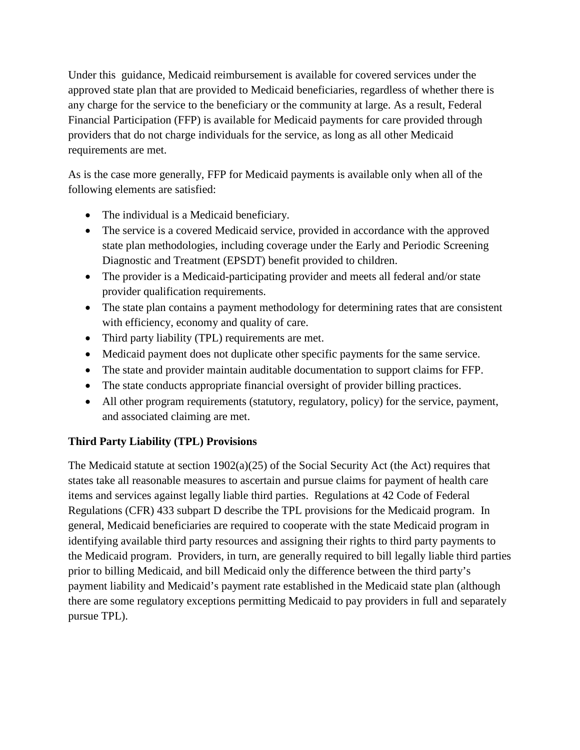Under this guidance, Medicaid reimbursement is available for covered services under the approved state plan that are provided to Medicaid beneficiaries, regardless of whether there is any charge for the service to the beneficiary or the community at large. As a result, Federal Financial Participation (FFP) is available for Medicaid payments for care provided through providers that do not charge individuals for the service, as long as all other Medicaid requirements are met.

As is the case more generally, FFP for Medicaid payments is available only when all of the following elements are satisfied:

- The individual is a Medicaid beneficiary.
- The service is a covered Medicaid service, provided in accordance with the approved state plan methodologies, including coverage under the Early and Periodic Screening Diagnostic and Treatment (EPSDT) benefit provided to children.
- The provider is a Medicaid-participating provider and meets all federal and/or state provider qualification requirements.
- The state plan contains a payment methodology for determining rates that are consistent with efficiency, economy and quality of care.
- Third party liability (TPL) requirements are met.
- Medicaid payment does not duplicate other specific payments for the same service.
- The state and provider maintain auditable documentation to support claims for FFP.
- The state conducts appropriate financial oversight of provider billing practices.
- All other program requirements (statutory, regulatory, policy) for the service, payment, and associated claiming are met.

## **Third Party Liability (TPL) Provisions**

The Medicaid statute at section  $1902(a)(25)$  of the Social Security Act (the Act) requires that states take all reasonable measures to ascertain and pursue claims for payment of health care items and services against legally liable third parties. Regulations at 42 Code of Federal Regulations (CFR) 433 subpart D describe the TPL provisions for the Medicaid program. In general, Medicaid beneficiaries are required to cooperate with the state Medicaid program in identifying available third party resources and assigning their rights to third party payments to the Medicaid program. Providers, in turn, are generally required to bill legally liable third parties prior to billing Medicaid, and bill Medicaid only the difference between the third party's payment liability and Medicaid's payment rate established in the Medicaid state plan (although there are some regulatory exceptions permitting Medicaid to pay providers in full and separately pursue TPL).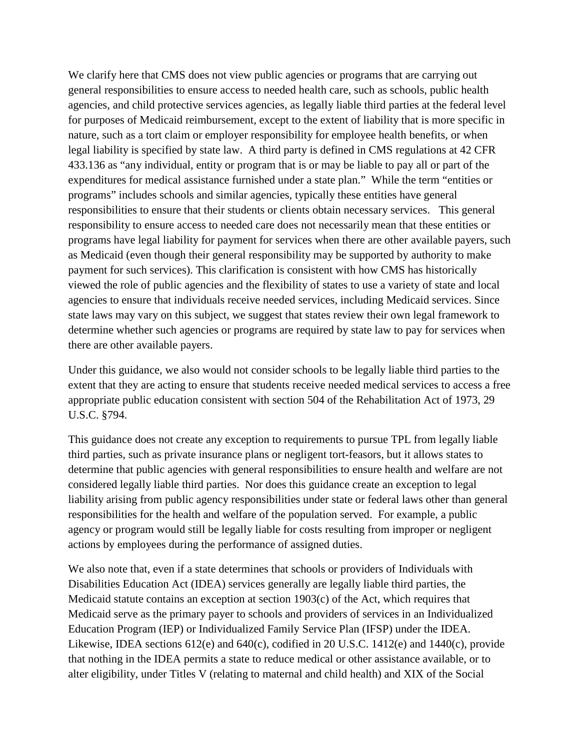We clarify here that CMS does not view public agencies or programs that are carrying out general responsibilities to ensure access to needed health care, such as schools, public health agencies, and child protective services agencies, as legally liable third parties at the federal level for purposes of Medicaid reimbursement, except to the extent of liability that is more specific in nature, such as a tort claim or employer responsibility for employee health benefits, or when legal liability is specified by state law. A third party is defined in CMS regulations at 42 CFR 433.136 as "any individual, entity or program that is or may be liable to pay all or part of the expenditures for medical assistance furnished under a state plan." While the term "entities or programs" includes schools and similar agencies, typically these entities have general responsibilities to ensure that their students or clients obtain necessary services. This general responsibility to ensure access to needed care does not necessarily mean that these entities or programs have legal liability for payment for services when there are other available payers, such as Medicaid (even though their general responsibility may be supported by authority to make payment for such services). This clarification is consistent with how CMS has historically viewed the role of public agencies and the flexibility of states to use a variety of state and local agencies to ensure that individuals receive needed services, including Medicaid services. Since state laws may vary on this subject, we suggest that states review their own legal framework to determine whether such agencies or programs are required by state law to pay for services when there are other available payers.

Under this guidance, we also would not consider schools to be legally liable third parties to the extent that they are acting to ensure that students receive needed medical services to access a free appropriate public education consistent with section 504 of the Rehabilitation Act of 1973, 29 U.S.C. §794.

This guidance does not create any exception to requirements to pursue TPL from legally liable third parties, such as private insurance plans or negligent tort-feasors, but it allows states to determine that public agencies with general responsibilities to ensure health and welfare are not considered legally liable third parties. Nor does this guidance create an exception to legal liability arising from public agency responsibilities under state or federal laws other than general responsibilities for the health and welfare of the population served. For example, a public agency or program would still be legally liable for costs resulting from improper or negligent actions by employees during the performance of assigned duties.

We also note that, even if a state determines that schools or providers of Individuals with Disabilities Education Act (IDEA) services generally are legally liable third parties, the Medicaid statute contains an exception at section 1903(c) of the Act, which requires that Medicaid serve as the primary payer to schools and providers of services in an Individualized Education Program (IEP) or Individualized Family Service Plan (IFSP) under the IDEA. Likewise, IDEA sections 612(e) and 640(c), codified in 20 U.S.C. 1412(e) and 1440(c), provide that nothing in the IDEA permits a state to reduce medical or other assistance available, or to alter eligibility, under Titles V (relating to maternal and child health) and XIX of the Social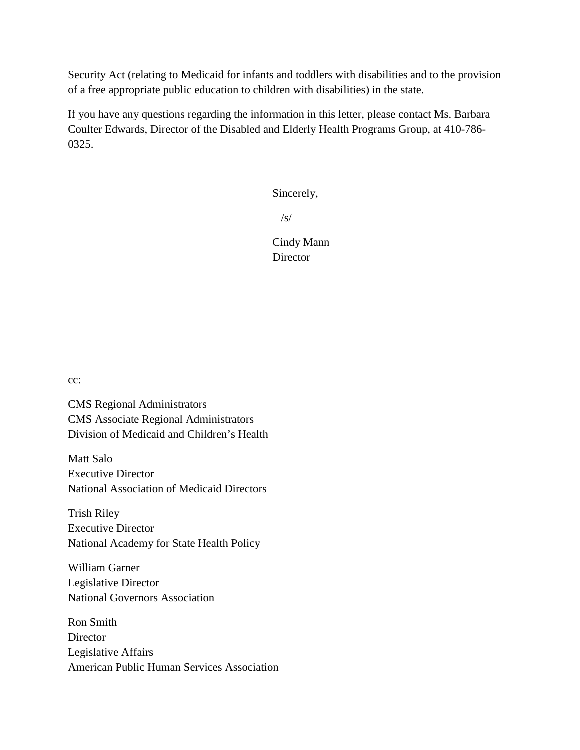Security Act (relating to Medicaid for infants and toddlers with disabilities and to the provision of a free appropriate public education to children with disabilities) in the state.

If you have any questions regarding the information in this letter, please contact Ms. Barbara Coulter Edwards, Director of the Disabled and Elderly Health Programs Group, at 410-786- 0325.

Sincerely,

 $\sqrt{s}$ 

Cindy Mann **Director** 

cc:

CMS Regional Administrators CMS Associate Regional Administrators Division of Medicaid and Children's Health

Matt Salo Executive Director National Association of Medicaid Directors

Trish Riley Executive Director National Academy for State Health Policy

William Garner Legislative Director National Governors Association

Ron Smith **Director** Legislative Affairs American Public Human Services Association